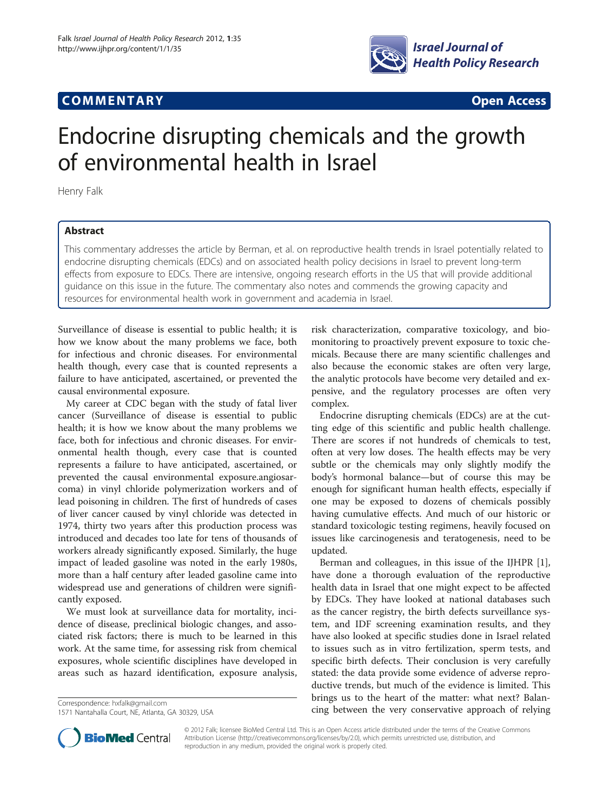# **COMMENTARY COMMENTARY Open Access**



# Endocrine disrupting chemicals and the growth of environmental health in Israel

Henry Falk

# Abstract

This commentary addresses the article by Berman, et al. on reproductive health trends in Israel potentially related to endocrine disrupting chemicals (EDCs) and on associated health policy decisions in Israel to prevent long-term effects from exposure to EDCs. There are intensive, ongoing research efforts in the US that will provide additional guidance on this issue in the future. The commentary also notes and commends the growing capacity and resources for environmental health work in government and academia in Israel.

Surveillance of disease is essential to public health; it is how we know about the many problems we face, both for infectious and chronic diseases. For environmental health though, every case that is counted represents a failure to have anticipated, ascertained, or prevented the causal environmental exposure.

My career at CDC began with the study of fatal liver cancer (Surveillance of disease is essential to public health; it is how we know about the many problems we face, both for infectious and chronic diseases. For environmental health though, every case that is counted represents a failure to have anticipated, ascertained, or prevented the causal environmental exposure.angiosarcoma) in vinyl chloride polymerization workers and of lead poisoning in children. The first of hundreds of cases of liver cancer caused by vinyl chloride was detected in 1974, thirty two years after this production process was introduced and decades too late for tens of thousands of workers already significantly exposed. Similarly, the huge impact of leaded gasoline was noted in the early 1980s, more than a half century after leaded gasoline came into widespread use and generations of children were significantly exposed.

We must look at surveillance data for mortality, incidence of disease, preclinical biologic changes, and associated risk factors; there is much to be learned in this work. At the same time, for assessing risk from chemical exposures, whole scientific disciplines have developed in areas such as hazard identification, exposure analysis,

1571 Nantahalla Court, NE, Atlanta, GA 30329, USA

risk characterization, comparative toxicology, and biomonitoring to proactively prevent exposure to toxic chemicals. Because there are many scientific challenges and also because the economic stakes are often very large, the analytic protocols have become very detailed and expensive, and the regulatory processes are often very complex.

Endocrine disrupting chemicals (EDCs) are at the cutting edge of this scientific and public health challenge. There are scores if not hundreds of chemicals to test, often at very low doses. The health effects may be very subtle or the chemicals may only slightly modify the body's hormonal balance—but of course this may be enough for significant human health effects, especially if one may be exposed to dozens of chemicals possibly having cumulative effects. And much of our historic or standard toxicologic testing regimens, heavily focused on issues like carcinogenesis and teratogenesis, need to be updated.

Berman and colleagues, in this issue of the IJHPR [\[1](#page-1-0)], have done a thorough evaluation of the reproductive health data in Israel that one might expect to be affected by EDCs. They have looked at national databases such as the cancer registry, the birth defects surveillance system, and IDF screening examination results, and they have also looked at specific studies done in Israel related to issues such as in vitro fertilization, sperm tests, and specific birth defects. Their conclusion is very carefully stated: the data provide some evidence of adverse reproductive trends, but much of the evidence is limited. This brings us to the heart of the matter: what next? BalanCorrespondence: [hxfalk@gmail.com](mailto:hxfalk@gmail.com)<br>
1571 Nantahalla Court. NE. Atlanta. GA 30329. USA<br>
Cing between the very conservative approach of relying



© 2012 Falk; licensee BioMed Central Ltd. This is an Open Access article distributed under the terms of the Creative Commons Attribution License (<http://creativecommons.org/licenses/by/2.0>), which permits unrestricted use, distribution, and reproduction in any medium, provided the original work is properly cited.